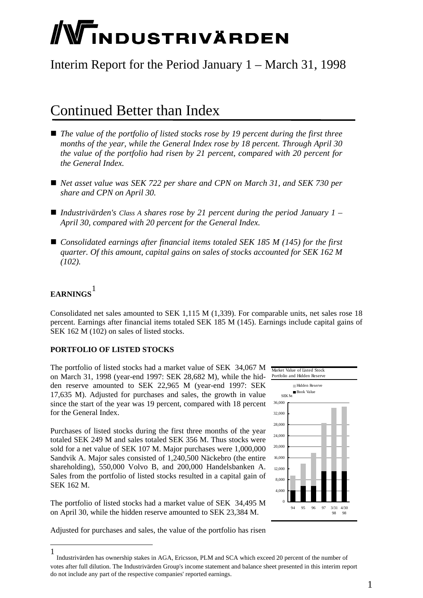# **NTINDUSTRIVÄRDEN**

## Interim Report for the Period January 1 – March 31, 1998

## Continued Better than Index

- *The value of the portfolio of listed stocks rose by 19 percent during the first three months of the year, while the General Index rose by 18 percent. Through April 30 the value of the portfolio had risen by 21 percent, compared with 20 percent for the General Index.*
- *Net asset value was SEK 722 per share and CPN on March 31, and SEK 730 per share and CPN on April 30.*
- *Industrivärden's Class A shares rose by 21 percent during the period January 1 April 30, compared with 20 percent for the General Index.*
- *Consolidated earnings after financial items totaled SEK 185 M (145) for the first quarter. Of this amount, capital gains on sales of stocks accounted for SEK 162 M (102).*

### **EARNINGS** [1](#page-0-0)

 $\overline{a}$ 

Consolidated net sales amounted to SEK 1,115 M (1,339). For comparable units, net sales rose 18 percent. Earnings after financial items totaled SEK 185 M (145). Earnings include capital gains of SEK 162 M (102) on sales of listed stocks.

#### **PORTFOLIO OF LISTED STOCKS**

The portfolio of listed stocks had a market value of SEK 34,067 M on March 31, 1998 (year-end 1997: SEK 28,682 M), while the hidden reserve amounted to SEK 22,965 M (year-end 1997: SEK 17,635 M). Adjusted for purchases and sales, the growth in value since the start of the year was 19 percent, compared with 18 percent for the General Index.

sold for a net value of SEK 107 M. Major purchases were  $1,000,000$ <sup>20,000</sup> Sandvik A. Major sales consisted of 1,240,500 Näckebro (the entire Sales from the portfolio of listed stocks resulted in a capital gain of SEK 162 M. Purchases of listed stocks during the first three months of the year totaled SEK 249 M and sales totaled SEK 356 M. Thus stocks were shareholding), 550,000 Volvo B, and 200,000 Handelsbanken A.

on April 30, while the hidden reserve amounted to SEK 23,384 M. The portfolio of listed stocks had a market value of SEK 34,495 M



Adjusted for purchases and sales, the value of the portfolio has risen

<span id="page-0-0"></span><sup>1</sup> Industrivärden has ownership stakes in AGA, Ericsson, PLM and SCA which exceed 20 percent of the number of votes after full dilution. The Industrivärden Group's income statement and balance sheet presented in this interim report do not include any part of the respective companies' reported earnings.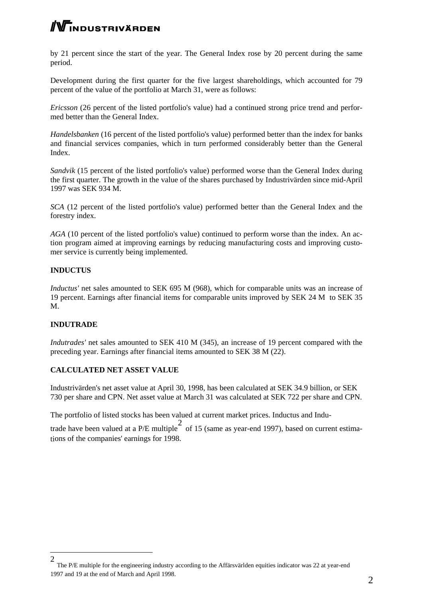# WINDUSTRIVÄRDEN

by 21 percent since the start of the year. The General Index rose by 20 percent during the same period.

Development during the first quarter for the five largest shareholdings, which accounted for 79 percent of the value of the portfolio at March 31, were as follows:

*Ericsson* (26 percent of the listed portfolio's value) had a continued strong price trend and performed better than the General Index.

and financial services companies, which in turn performed considerably better than the General Index. *Handelsbanken* (16 percent of the listed portfolio's value) performed better than the index for banks

Sandvik (15 percent of the listed portfolio's value) performed worse than the General Index during the first quarter. The growth in the value of the shares purchased by Industrivärden since mid-April 1997 was SEK 934 M.

SCA (12 percent of the listed portfolio's value) performed better than the General Index and the forestry index.

*GA* (10 percent of the listed portfolio's value) continued to perform worse than the index. An ac-*A* tion program aimed at improving earnings by reducing manufacturing costs and improving customer service is currently being implemented.

#### **NDUCTUS I**

*ductus'* net sales amounted to SEK 695 M (968), which for comparable units was an increase of *In* 19 percent. Earnings after financial items for comparable units improved by SEK 24 M to SEK 35 M.

#### **INDUTRADE**

-

*Indutrades'* net sales amounted to SEK 410 M (345), an increase of 19 percent compared with the preceding year. Earnings after financial items amounted to SEK 38 M (22).

#### **CALCULATED NET ASSET VALUE**

730 per share and CPN. Net asset value at March 31 was calculated at SEK 722 per share and CPN. Industrivärden's net asset value at April 30, 1998, has been calculated at SEK 34.9 billion, or SEK

The portfolio of listed stocks has been valued at current market prices. Inductus and Indu-

trade have been valued at a P/E multiple  $\frac{2}{\pi}$  of 15 (same as year-end 1997), based on current estimations of the companies' earnings for 1998.

<sup>2</sup> The P/E multiple for the engineering industry according to the Affärsvärlden equities indicator was 22 at year-end 1997 and 19 at the end of March and April 1998.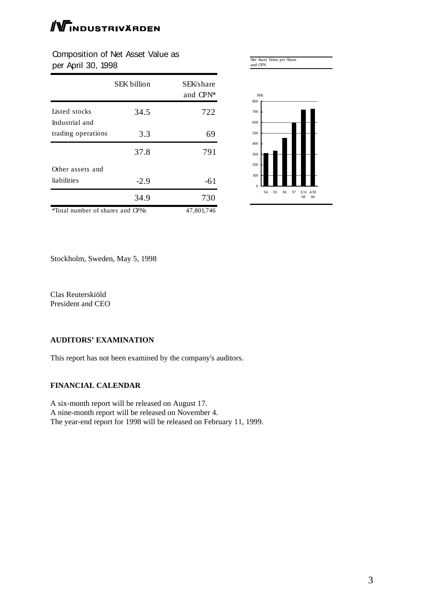# $\mathbb W$ industrivärden

Composition of Net Asset Value as per April 30, 1998

|                                         | <b>SEK</b> billion | SEK/share<br>and CPN <sup>*</sup> |
|-----------------------------------------|--------------------|-----------------------------------|
| Listed stocks<br>Industrial and         | 34.5               | 722                               |
| trading operations                      | 3.3                | 69                                |
|                                         | 37.8               | 791                               |
| Other assets and                        |                    |                                   |
| liabilities                             | $-2.9$             | -61                               |
|                                         | 34.9               | 730                               |
| <i>*Total number of shares and CPNs</i> |                    | 47,801,746                        |



Stockholm, Sweden, May 5, 1998

Clas Reuterskiöld President and CEO

#### **AUDITORS' EXAMINATION**

This report has not been examined by the company's auditors.

#### **FINANCIAL CALENDAR**

A six-month report will be released on August 17. A nine-month report will be released on November 4. The year-end report for 1998 will be released on February 11, 1999.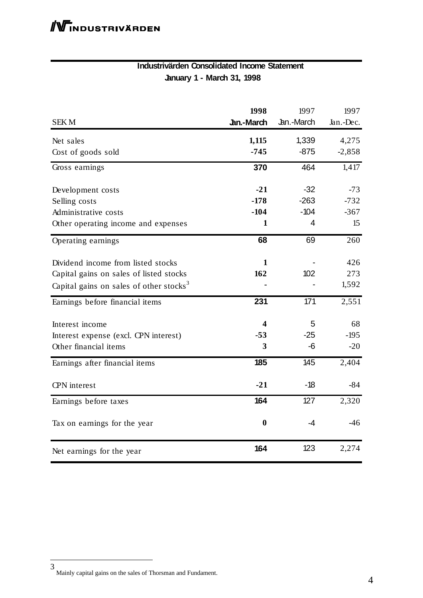#### **Industrivärden Consolidated Income Statement January 1 - March 31, 1998**

| <b>SEKM</b>                                         | 1998<br>Jan.-March | 1997<br>Jan.-March | 1997<br>Jan.-Dec. |
|-----------------------------------------------------|--------------------|--------------------|-------------------|
|                                                     |                    |                    |                   |
| Net sales                                           | 1,115              | 1,339              | 4,275             |
| Cost of goods sold                                  | $-745$             | $-875$             | $-2,858$          |
| Gross earnings                                      | 370                | 464                | 1,417             |
| Development costs                                   | $-21$              | $-32$              | $-73$             |
| Selling costs                                       | $-178$             | $-263$             | $-732$            |
| Administrative costs                                | $-104$             | $-104$             | $-367$            |
| Other operating income and expenses                 | 1                  | 4                  | 15                |
| Operating earnings                                  | 68                 | 69                 | 260               |
| Dividend income from listed stocks                  | 1                  |                    | 426               |
| Capital gains on sales of listed stocks             | 162                | 102                | 273               |
| Capital gains on sales of other stocks <sup>3</sup> |                    |                    | 1,592             |
| Earnings before financial items                     | 231                | 171                | 2,551             |
| Interest income                                     | 4                  | 5                  | 68                |
| Interest expense (excl. CPN interest)               | $-53$              | $-25$              | $-195$            |
| Other financial items                               | 3                  | -6                 | $-20$             |
| Earnings after financial items                      | 185                | 145                | 2,404             |
| <b>CPN</b> interest                                 | $-21$              | $-18$              | $-84$             |
| Earnings before taxes                               | 164                | 127                | 2,320             |
| Tax on earnings for the year                        | $\bf{0}$           | $-4$               | $-46$             |
| Net earnings for the year                           | 164                | 123                | 2,274             |

3 Mainly capital gains on the sales of Thorsman and Fundament.

l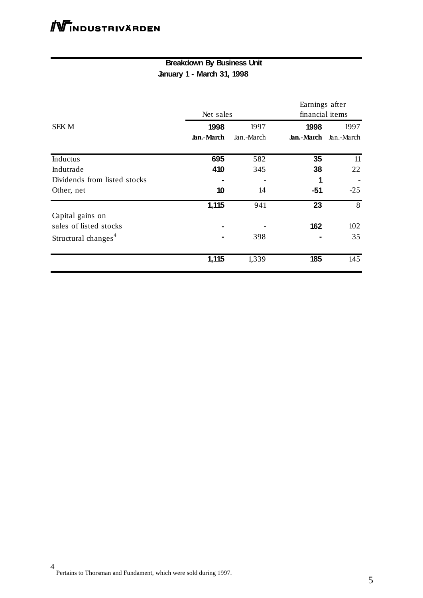#### **Breakdown By Business Unit January 1 - March 31, 1998**

|                                 |            |            | Earnings after  |            |  |
|---------------------------------|------------|------------|-----------------|------------|--|
|                                 | Net sales  |            | financial items |            |  |
| <b>SEKM</b>                     | 1998       | 1997       | 1998            | 1997       |  |
|                                 | Jan.-March | Jan.-March | Jan.-March      | Jan.-March |  |
| Inductus                        | 695        | 582        | 35              | 11         |  |
| Indutrade                       | 410        | 345        | 38              | 22         |  |
| Dividends from listed stocks    |            |            | 1               |            |  |
| Other, net                      | 10         | 14         | $-51$           | $-25$      |  |
|                                 | 1,115      | 941        | 23              | 8          |  |
| Capital gains on                |            |            |                 |            |  |
| sales of listed stocks          |            |            | 162             | 102        |  |
| Structural changes <sup>4</sup> |            | 398        |                 | 35         |  |
|                                 | 1,115      | 1,339      | 185             | 145        |  |

-

<sup>4</sup> Pertains to Thorsman and Fundament, which were sold during 1997.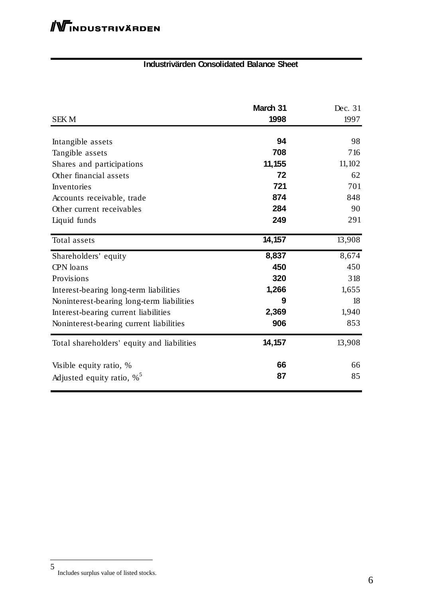#### **Industrivärden Consolidated Balance Sheet**

| <b>SEKM</b>                                | March 31<br>1998 | Dec. 31<br>1997 |
|--------------------------------------------|------------------|-----------------|
| Intangible assets                          | 94               | 98              |
| Tangible assets                            | 708              | 716             |
| Shares and participations                  | 11,155           | 11,102          |
| Other financial assets                     | 72               | 62              |
| Inventories                                | 721              | 701             |
| Accounts receivable, trade                 | 874              | 848             |
| Other current receivables                  | 284              | 90              |
| Liquid funds                               | 249              | 291             |
| Total assets                               | 14,157           | 13,908          |
| Shareholders' equity                       | 8,837            | 8,674           |
| CPN loans                                  | 450              | 450             |
| Provisions                                 | 320              | 318             |
| Interest-bearing long-term liabilities     | 1,266            | 1,655           |
| Noninterest-bearing long-term liabilities  | 9                | 18              |
| Interest-bearing current liabilities       | 2,369            | 1,940           |
| Noninterest-bearing current liabilities    | 906              | 853             |
| Total shareholders' equity and liabilities | 14,157           | 13,908          |
| Visible equity ratio, %                    | 66               | 66              |
| Adjusted equity ratio, $\%$ <sup>5</sup>   | 87               | 85              |

Includes surplus value of listed stocks.